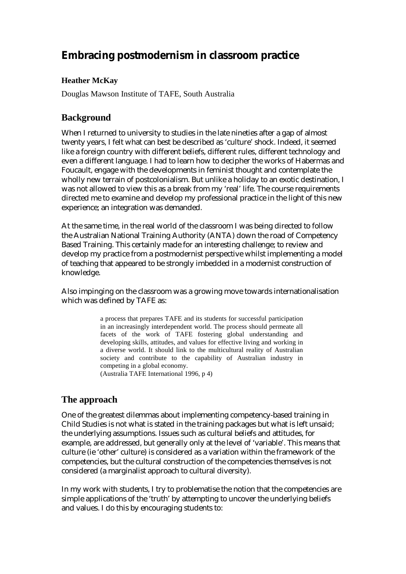# **Embracing postmodernism in classroom practice**

### **Heather McKay**

Douglas Mawson Institute of TAFE, South Australia

### **Background**

When I returned to university to studies in the late nineties after a gap of almost twenty years, I felt what can best be described as 'culture' shock. Indeed, it seemed like a foreign country with different beliefs, different rules, different technology and even a different language. I had to learn how to decipher the works of Habermas and Foucault, engage with the developments in feminist thought and contemplate the wholly new terrain of postcolonialism. But unlike a holiday to an exotic destination, I was not allowed to view this as a break from my 'real' life. The course requirements directed me to examine and develop my professional practice in the light of this new experience; an integration was demanded.

At the same time, in the real world of the classroom I was being directed to follow the Australian National Training Authority (ANTA) down the road of Competency Based Training. This certainly made for an interesting challenge; to review and develop my practice from a postmodernist perspective whilst implementing a model of teaching that appeared to be strongly imbedded in a modernist construction of knowledge.

Also impinging on the classroom was a growing move towards internationalisation which was defined by TAFE as:

> a process that prepares TAFE and its students for successful participation in an increasingly interdependent world. The process should permeate all facets of the work of TAFE fostering global understanding and developing skills, attitudes, and values for effective living and working in a diverse world. It should link to the multicultural reality of Australian society and contribute to the capability of Australian industry in competing in a global economy.

(Australia TAFE International 1996, p 4)

### **The approach**

One of the greatest dilemmas about implementing competency-based training in Child Studies is not what is stated in the training packages but what is left unsaid; the underlying assumptions. Issues such as cultural beliefs and attitudes, for example, are addressed, but generally only at the level of 'variable'. This means that culture (ie 'other' culture) is considered as a variation within the framework of the competencies, but the cultural construction of the competencies themselves is not considered (a marginalist approach to cultural diversity).

In my work with students, I try to problematise the notion that the competencies are simple applications of the 'truth' by attempting to uncover the underlying beliefs and values. I do this by encouraging students to: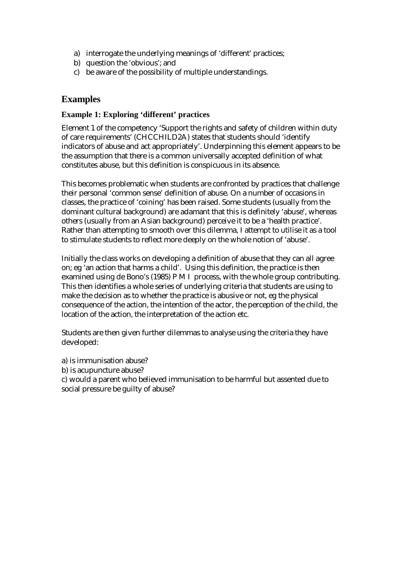- a) interrogate the underlying meanings of 'different' practices;
- b) question the 'obvious'; and
- c) be aware of the possibility of multiple understandings.

### **Examples**

#### **Example 1: Exploring 'different' practices**

Element 1 of the competency 'Support the rights and safety of children within duty of care requirements' (CHCCHILD2A) states that students should 'identify indicators of abuse and act appropriately'. Underpinning this element appears to be the assumption that there is a common universally accepted definition of what constitutes abuse, but this definition is conspicuous in its absence.

This becomes problematic when students are confronted by practices that challenge their personal 'common sense' definition of abuse. On a number of occasions in classes, the practice of 'coining' has been raised. Some students (usually from the dominant cultural background) are adamant that this is definitely 'abuse', whereas others (usually from an Asian background) perceive it to be a 'health practice'. Rather than attempting to smooth over this dilemma, I attempt to utilise it as a tool to stimulate students to reflect more deeply on the whole notion of 'abuse'.

Initially the class works on developing a definition of abuse that they can all agree on; eg 'an action that harms a child'. Using this definition, the practice is then examined using de Bono's (1985) P M I process, with the whole group contributing. This then identifies a whole series of underlying criteria that students are using to make the decision as to whether the practice is abusive or not, eg the physical consequence of the action, the intention of the actor, the perception of the child, the location of the action, the interpretation of the action etc.

Students are then given further dilemmas to analyse using the criteria they have developed:

a) is immunisation abuse?

b) is acupuncture abuse?

c) would a parent who believed immunisation to be harmful but assented due to social pressure be guilty of abuse?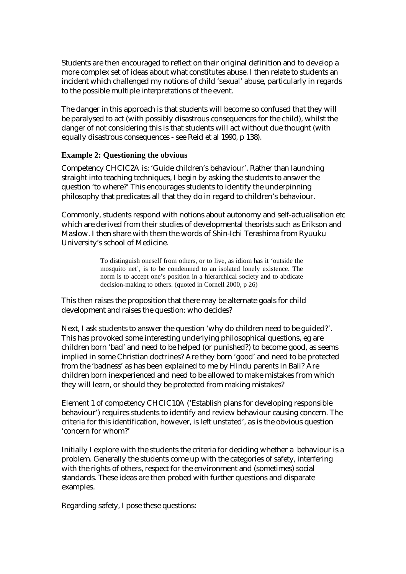Students are then encouraged to reflect on their original definition and to develop a more complex set of ideas about what constitutes abuse. I then relate to students an incident which challenged my notions of child 'sexual' abuse, particularly in regards to the possible multiple interpretations of the event.

The danger in this approach is that students will become so confused that they will be paralysed to act (with possibly disastrous consequences for the child), whilst the danger of not considering this is that students will act without due thought (with equally disastrous consequences - see Reid et al 1990, p 138).

#### **Example 2: Questioning the obvious**

Competency CHCIC2A is: 'Guide children's behaviour'. Rather than launching straight into teaching techniques, I begin by asking the students to answer the question 'to where?' This encourages students to identify the underpinning philosophy that predicates all that they do in regard to children's behaviour.

Commonly, students respond with notions about autonomy and self-actualisation etc which are derived from their studies of developmental theorists such as Erikson and Maslow. I then share with them the words of Shin-Ichi Terashima from Ryuuku University's school of Medicine.

> To distinguish oneself from others, or to live, as idiom has it 'outside the mosquito net', is to be condemned to an isolated lonely existence. The norm is to accept one's position in a hierarchical society and to abdicate decision-making to others. (quoted in Cornell 2000, p 26)

This then raises the proposition that there may be alternate goals for child development and raises the question: who decides?

Next, I ask students to answer the question 'why do children need to be guided?'. This has provoked some interesting underlying philosophical questions, eg are children born 'bad' and need to be helped (or punished?) to become good, as seems implied in some Christian doctrines? Are they born 'good' and need to be protected from the 'badness' as has been explained to me by Hindu parents in Bali? Are children born inexperienced and need to be allowed to make mistakes from which they will learn, or should they be protected from making mistakes?

Element 1 of competency CHCIC10A ('Establish plans for developing responsible behaviour') requires students to identify and review behaviour causing concern. The criteria for this identification, however, is left unstated', as is the obvious question 'concern for whom?'

Initially I explore with the students the criteria for deciding whether a behaviour is a problem. Generally the students come up with the categories of safety, interfering with the rights of others, respect for the environment and (sometimes) social standards. These ideas are then probed with further questions and disparate examples.

Regarding safety, I pose these questions: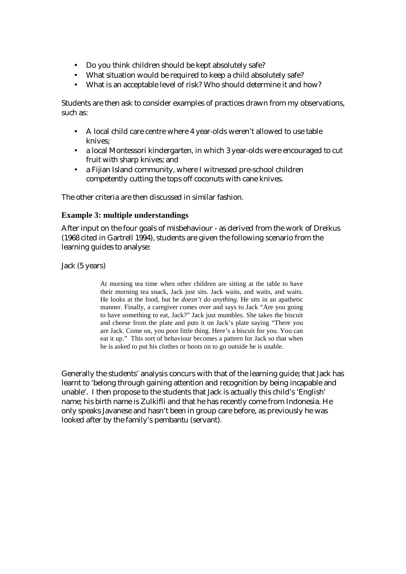- Do you think children should be kept absolutely safe?
- What situation would be required to keep a child absolutely safe?
- What is an acceptable level of risk? Who should determine it and how?

Students are then ask to consider examples of practices drawn from my observations, such as:

- A local child care centre where 4 year-olds weren't allowed to use table knives;
- a local Montessori kindergarten, in which 3 year-olds were encouraged to cut fruit with sharp knives; and
- a Fijian Island community, where I witnessed pre-school children competently cutting the tops off coconuts with cane knives.

The other criteria are then discussed in similar fashion.

#### **Example 3: multiple understandings**

After input on the four goals of misbehaviour - as derived from the work of Dreikus (1968 cited in Gartrell 1994), students are given the following scenario from the learning guides to analyse:

Jack (5 years)

At morning tea time when other children are sitting at the table to have their morning tea snack, Jack just sits. Jack waits, and waits, and waits. He looks at the food, but he *doesn't do anything.* He sits in an apathetic manner. Finally, a caregiver comes over and says to Jack "Are you going to have something to eat, Jack?" Jack just mumbles. She takes the biscuit and cheese from the plate and puts it on Jack's plate saying "There you are Jack. Come on, you poor little thing. Here's a biscuit for you. You can eat it up." This sort of behaviour becomes a pattern for Jack so that when he is asked to put his clothes or boots on to go outside he is unable.

Generally the students' analysis concurs with that of the learning guide; that Jack has learnt to 'belong through gaining attention and recognition by being incapable and unable'. I then propose to the students that Jack is actually this child's 'English' name; his birth name is Zulkifli and that he has recently come from Indonesia. He only speaks Javanese and hasn't been in group care before, as previously he was looked after by the family's pembantu (servant).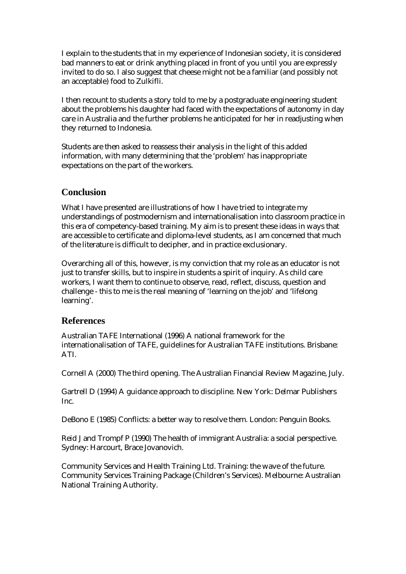I explain to the students that in my experience of Indonesian society, it is considered bad manners to eat or drink anything placed in front of you until you are expressly invited to do so. I also suggest that cheese might not be a familiar (and possibly not an acceptable) food to Zulkifli.

I then recount to students a story told to me by a postgraduate engineering student about the problems his daughter had faced with the expectations of autonomy in day care in Australia and the further problems he anticipated for her in readjusting when they returned to Indonesia.

Students are then asked to reassess their analysis in the light of this added information, with many determining that the 'problem' has inappropriate expectations on the part of the workers.

### **Conclusion**

What I have presented are illustrations of how I have tried to integrate my understandings of postmodernism and internationalisation into classroom practice in this era of competency-based training. My aim is to present these ideas in ways that are accessible to certificate and diploma-level students, as I am concerned that much of the literature is difficult to decipher, and in practice exclusionary.

Overarching all of this, however, is my conviction that my role as an educator is not just to transfer skills, but to inspire in students a spirit of inquiry. As child care workers, I want them to continue to observe, read, reflect, discuss, question and challenge - this to me is the real meaning of 'learning on the job' and 'lifelong learning'.

### **References**

Australian TAFE International (1996) A national framework for the internationalisation of TAFE, guidelines for Australian TAFE institutions. Brisbane: ATI.

Cornell A (2000) The third opening. The Australian Financial Review Magazine, July.

Gartrell D (1994) A guidance approach to discipline. New York: Delmar Publishers Inc.

DeBono E (1985) Conflicts: a better way to resolve them. London: Penguin Books.

Reid J and Trompf P (1990) The health of immigrant Australia: a social perspective. Sydney: Harcourt, Brace Jovanovich.

Community Services and Health Training Ltd. Training: the wave of the future. Community Services Training Package (Children's Services). Melbourne: Australian National Training Authority.